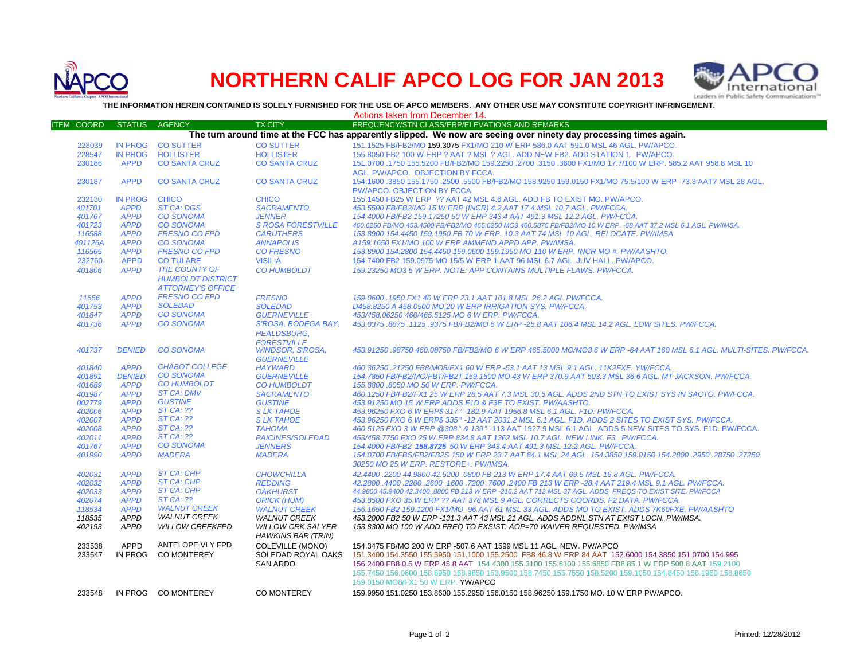

## **NORTHERN CALIF APCO LOG FOR JAN 2013**



**THE INFORMATION HEREIN CONTAINED IS SOLELY FURNISHED FOR THE USE OF APCO MEMBERS. ANY OTHER USE MAY CONSTITUTE COPYRIGHT INFRINGEMENT.**

|                                                                                                                   |                |                          |                           | Actions taken from December 14.                                                                                     |  |  |  |  |
|-------------------------------------------------------------------------------------------------------------------|----------------|--------------------------|---------------------------|---------------------------------------------------------------------------------------------------------------------|--|--|--|--|
| <b>ITEM COORD</b>                                                                                                 | <b>STATUS</b>  | <b>AGENCY</b>            | <b>TX CITY</b>            | FREQUENCY/STN CLASS/ERP/ELEVATIONS AND REMARKS                                                                      |  |  |  |  |
| The turn around time at the FCC has apparently slipped. We now are seeing over ninety day processing times again. |                |                          |                           |                                                                                                                     |  |  |  |  |
| 228039                                                                                                            | <b>IN PROG</b> | <b>CO SUTTER</b>         | <b>CO SUTTER</b>          | 151.1525 FB/FB2/MO 159.3075 FX1/MO 210 W ERP 586.0 AAT 591.0 MSL 46 AGL. PW/APCO.                                   |  |  |  |  |
| 228547                                                                                                            | <b>IN PROG</b> | <b>HOLLISTER</b>         | <b>HOLLISTER</b>          | 155,8050 FB2 100 W ERP ? AAT ? MSL ? AGL, ADD NEW FB2, ADD STATION 1. PW/APCO,                                      |  |  |  |  |
| 230186                                                                                                            | <b>APPD</b>    | <b>CO SANTA CRUZ</b>     | <b>CO SANTA CRUZ</b>      | 151.0700 .1750 155.5200 FB/FB2/MO 159.2250 .2700 .3150 .3600 FX1/MO 17.7/100 W ERP. 585.2 AAT 958.8 MSL 10          |  |  |  |  |
|                                                                                                                   |                |                          |                           | AGL. PW/APCO. OBJECTION BY FCCA.                                                                                    |  |  |  |  |
| 230187                                                                                                            | <b>APPD</b>    | <b>CO SANTA CRUZ</b>     | <b>CO SANTA CRUZ</b>      | 154.1600 .3850 155.1750 .2500 .5500 FB/FB2/MO 158.9250 159.0150 FX1/MO 75.5/100 W ERP -73.3 AAT7 MSL 28 AGL.        |  |  |  |  |
|                                                                                                                   |                |                          |                           | PW/APCO. OBJECTION BY FCCA.                                                                                         |  |  |  |  |
| 232130                                                                                                            | <b>IN PROG</b> | <b>CHICO</b>             | <b>CHICO</b>              | 155.1450 FB25 W ERP ?? AAT 42 MSL 4.6 AGL. ADD FB TO EXIST MO. PW/APCO.                                             |  |  |  |  |
| 401701                                                                                                            | <b>APPD</b>    | <b>ST CA: DGS</b>        | <b>SACRAMENTO</b>         | 453.5500 FB/FB2/MO 15 W ERP (INCR) 4.2 AAT 17.4 MSL 10.7 AGL. PW/FCCA.                                              |  |  |  |  |
| 401767                                                                                                            | <b>APPD</b>    | <b>CO SONOMA</b>         | <b>JENNER</b>             | 154.4000 FB/FB2 159.17250 50 W ERP 343.4 AAT 491.3 MSL 12.2 AGL. PW/FCCA.                                           |  |  |  |  |
| 401723                                                                                                            | <b>APPD</b>    | <b>CO SONOMA</b>         | <b>S ROSA FORESTVILLE</b> | 460.6250 FB/MO 453.4500 FB/FB2/MO 465.6250 MO3 460.5875 FB/FB2/MO 10 W ERP. -68 AAT 37.2 MSL 6.1 AGL. PW/IMSA.      |  |  |  |  |
| 116588                                                                                                            | <b>APPD</b>    | <b>FRESNO CO FPD</b>     | <b>CARUTHERS</b>          | 153.8900 154.4450 159.1950 FB 70 W ERP. 10.3 AAT 74 MSL 10 AGL. RELOCATE. PW/IMSA.                                  |  |  |  |  |
| 401126A                                                                                                           | <b>APPD</b>    | <b>CO SONOMA</b>         | <b>ANNAPOLIS</b>          | A159.1650 FX1/MO 100 W ERP AMMEND APPD APP. PW/IMSA.                                                                |  |  |  |  |
| 116565                                                                                                            | <b>APPD</b>    | <b>FRESNO CO FPD</b>     | <b>CO FRESNO</b>          | 153.8900 154.2800 154.4450 159.0600 159.1950 MO 110 W ERP. INCR MO #. PW/AASHTO.                                    |  |  |  |  |
| 232760                                                                                                            | <b>APPD</b>    | <b>CO TULARE</b>         | <b>VISILIA</b>            | 154.7400 FB2 159.0975 MO 15/5 W ERP 1 AAT 96 MSL 6.7 AGL. JUV HALL. PW/APCO.                                        |  |  |  |  |
| 401806                                                                                                            | <b>APPD</b>    | THE COUNTY OF            | <b>CO HUMBOLDT</b>        | 159.23250 MO3 5 W ERP. NOTE: APP CONTAINS MULTIPLE FLAWS. PW/FCCA.                                                  |  |  |  |  |
|                                                                                                                   |                | <b>HUMBOLDT DISTRICT</b> |                           |                                                                                                                     |  |  |  |  |
|                                                                                                                   |                | <b>ATTORNEY'S OFFICE</b> |                           |                                                                                                                     |  |  |  |  |
| 11656                                                                                                             | <b>APPD</b>    | <b>FRESNO CO FPD</b>     | <b>FRESNO</b>             | 159.0600 .1950 FX1 40 W ERP 23.1 AAT 101.8 MSL 26.2 AGL PW/FCCA.                                                    |  |  |  |  |
| 401753                                                                                                            | <b>APPD</b>    | <b>SOLEDAD</b>           | <b>SOLEDAD</b>            | D458.8250 A 458.0500 MO 20 W ERP IRRIGATION SYS. PW/FCCA.                                                           |  |  |  |  |
| 401847                                                                                                            | <b>APPD</b>    | <b>CO SONOMA</b>         | <b>GUERNEVILLE</b>        | 453/458.06250 460/465.5125 MO 6 W ERP. PW/FCCA.                                                                     |  |  |  |  |
| 401736                                                                                                            | <b>APPD</b>    | <b>CO SONOMA</b>         | S'ROSA, BODEGA BAY,       | 453.0375.8875.1125.9375 FB/FB2/MO 6 W ERP -25.8 AAT 106.4 MSL 14.2 AGL. LOW SITES. PW/FCCA.                         |  |  |  |  |
|                                                                                                                   |                |                          | <b>HEALDSBURG.</b>        |                                                                                                                     |  |  |  |  |
|                                                                                                                   |                |                          | <b>FORESTVILLE</b>        |                                                                                                                     |  |  |  |  |
| 401737                                                                                                            | <b>DENIED</b>  | <b>CO SONOMA</b>         | <b>WINDSOR, S'ROSA,</b>   | 453.91250 .98750 460.08750 FB/FB2/MO 6 W ERP 465.5000 MO/MO3 6 W ERP -64 AAT 160 MSL 6.1 AGL. MULTI-SITES. PW/FCCA. |  |  |  |  |
|                                                                                                                   |                |                          | <b>GUERNEVILLE</b>        |                                                                                                                     |  |  |  |  |
| 401840                                                                                                            | <b>APPD</b>    | <b>CHABOT COLLEGE</b>    | <b>HAYWARD</b>            | 460.36250.21250 FB8/MO8/FX1 60 W ERP -53.1 AAT 13 MSL 9.1 AGL, 11K2FXE, YW/FCCA.                                    |  |  |  |  |
| 401891                                                                                                            | <b>DENIED</b>  | <b>CO SONOMA</b>         | <b>GUERNEVILLE</b>        | 154.7850 FB/FB2/MO/FBT/FB2T 159.1500 MO 43 W ERP 370.9 AAT 503.3 MSL 36.6 AGL, MT JACKSON, PW/FCCA,                 |  |  |  |  |
| 401689                                                                                                            | <b>APPD</b>    | <b>CO HUMBOLDT</b>       | <b>CO HUMBOLDT</b>        | 155.8800,8050 MO 50 W ERP. PW/FCCA.                                                                                 |  |  |  |  |
| 401987                                                                                                            | <b>APPD</b>    | <b>ST CA: DMV</b>        | <b>SACRAMENTO</b>         | 460.1250 FB/FB2/FX1 25 W ERP 28.5 AAT 7.3 MSL 30.5 AGL. ADDS 2ND STN TO EXIST SYS IN SACTO. PW/FCCA.                |  |  |  |  |
| 002779                                                                                                            | <b>APPD</b>    | <b>GUSTINE</b>           | <b>GUSTINE</b>            | 453.91250 MO 15 W ERP ADDS F1D & F3E TO EXIST. PW/AASHTO.                                                           |  |  |  |  |
| 402006                                                                                                            | <b>APPD</b>    | <b>ST CA: ??</b>         | <b>SLK TAHOE</b>          | 453.96250 FXO 6 W ERP\$ 317° -182.9 AAT 1956.8 MSL 6.1 AGL. F1D. PW/FCCA.                                           |  |  |  |  |
| 402007                                                                                                            | <b>APPD</b>    | <b>ST CA: ??</b>         | <b>SLK TAHOE</b>          | 453.96250 FXO 6 W ERP\$ 335° -12 AAT 2031.2 MSL 6.1 AGL. F1D. ADDS 2 SITES TO EXIST SYS. PW/FCCA.                   |  |  |  |  |
| 402008                                                                                                            | <b>APPD</b>    | <b>ST CA: ??</b>         | <b>TAHOMA</b>             | 460.5125 FXO 3 W ERP @308° & 139° -113 AAT 1927.9 MSL 6.1 AGL. ADDS 5 NEW SITES TO SYS. F1D. PW/FCCA.               |  |  |  |  |
| 402011                                                                                                            | <b>APPD</b>    | $STCA:$ ??               | <b>PAICINES/SOLEDAD</b>   | 453/458.7750 FXO 25 W ERP 834.8 AAT 1362 MSL 10.7 AGL. NEW LINK. F3. PW/FCCA.                                       |  |  |  |  |
| 401767                                                                                                            | <b>APPD</b>    | <b>CO SONOMA</b>         | <b>JENNERS</b>            | 154.4000 FB/FB2 158.8725 50 W ERP 343.4 AAT 491.3 MSL 12.2 AGL. PW/FCCA.                                            |  |  |  |  |
| 401990                                                                                                            | <b>APPD</b>    | <b>MADERA</b>            | <b>MADERA</b>             | 154.0700 PB/FBS/FB2/FB2S 150 W ERP 23.7 AAT 84.1 MSL 24 AGL. 154.3850 159.0150 154.2800 .2950 .28750 .27250         |  |  |  |  |
|                                                                                                                   |                |                          |                           | 30250 MO 25 W ERP. RESTORE+. PW/IMSA.                                                                               |  |  |  |  |
| 402031                                                                                                            | <b>APPD</b>    | ST CA: CHP               | <b>CHOWCHILLA</b>         | 42.4400.2200 44.9800 42.5200.0800 FB 213 W ERP 17.4 AAT 69.5 MSL 16.8 AGL. PW/FCCA.                                 |  |  |  |  |
| 402032                                                                                                            | <b>APPD</b>    | <b>ST CA: CHP</b>        | <b>REDDING</b>            | .42.2800 .4400 .2200 .2600 .1600 .7200 .7600 .2400 FB 213 W ERP -28.4 AAT 219.4 MSL 9.1 AGL. PW/FCCA                |  |  |  |  |
| 402033                                                                                                            | <b>APPD</b>    | <b>ST CA: CHP</b>        | <b>OAKHURST</b>           | 44.9800 45.9400 42.3400 .8800 FB 213 W ERP -216.2 AAT 712 MSL 37 AGL. ADDS FREQS TO EXIST SITE. PW/FCCA             |  |  |  |  |
| 402074                                                                                                            | <b>APPD</b>    | <b>ST CA: ??</b>         | <b>ORICK (HUM)</b>        | 453.8500 FXO 35 W ERP ?? AAT 378 MSL 9 AGL. CORRECTS COORDS. F2 DATA. PW/FCCA.                                      |  |  |  |  |
| 118534                                                                                                            | <b>APPD</b>    | <b>WALNUT CREEK</b>      | <b>WALNUT CREEK</b>       | 156.1650 FB2 159.1200 FX1/MO -96 AAT 61 MSL 33 AGL. ADDS MO TO EXIST. ADDS 7K60FXE. PW/AASHTO                       |  |  |  |  |
| 118535                                                                                                            | <b>APPD</b>    | <b>WALNUT CREEK</b>      | <b>WALNUT CREEK</b>       | 453.2000 FB2 50 W ERP -131.3 AAT 43 MSL 21 AGL. ADDS ADDNL STN AT EXIST LOCN. PW/IMSA.                              |  |  |  |  |
| 402193                                                                                                            | <b>APPD</b>    | <b>WILLOW CREEKFPD</b>   | <b>WILLOW CRK SALYER</b>  | 153.8300 MO 100 W ADD FREQ TO EXSIST. AOP=70 WAIVER REQUESTED. PW/IMSA                                              |  |  |  |  |
|                                                                                                                   |                | ANTELOPE VLY FPD         | HAWKINS BAR (TRIN)        |                                                                                                                     |  |  |  |  |
| 233538                                                                                                            | <b>APPD</b>    |                          | <b>COLEVILLE (MONO)</b>   | 154.3475 FB/MO 200 W ERP -507.6 AAT 1599 MSL 11 AGL. NEW. PW/APCO                                                   |  |  |  |  |
| 233547                                                                                                            | IN PROG        | <b>CO MONTEREY</b>       | SOLEDAD ROYAL OAKS        | 151.3400 154.3550 155.5950 151.1000 155.2500 FB8 46.8 W ERP 84 AAT 152.6000 154.3850 151.0700 154.995               |  |  |  |  |
|                                                                                                                   |                |                          | <b>SAN ARDO</b>           | 156.2400 FB8 0.5 W ERP 45.8 AAT 154.4300 155.3100 155.6100 155.6850 FB8 85.1 W ERP 500.8 AAT 159.2100               |  |  |  |  |
|                                                                                                                   |                |                          |                           | 155.7450 156.0600 158.8950 158.9850 153.9500 158.7450 155.7550 158.5200 159.1050 154.8450 156.1950 158.8650         |  |  |  |  |
|                                                                                                                   |                |                          |                           | 159.0150 MO8/FX1 50 W ERP. YW/APCO                                                                                  |  |  |  |  |
| 233548                                                                                                            |                | IN PROG CO MONTEREY      | CO MONTEREY               | 159.9950 151.0250 153.8600 155.2950 156.0150 158.96250 159.1750 MO. 10 W ERP PW/APCO.                               |  |  |  |  |